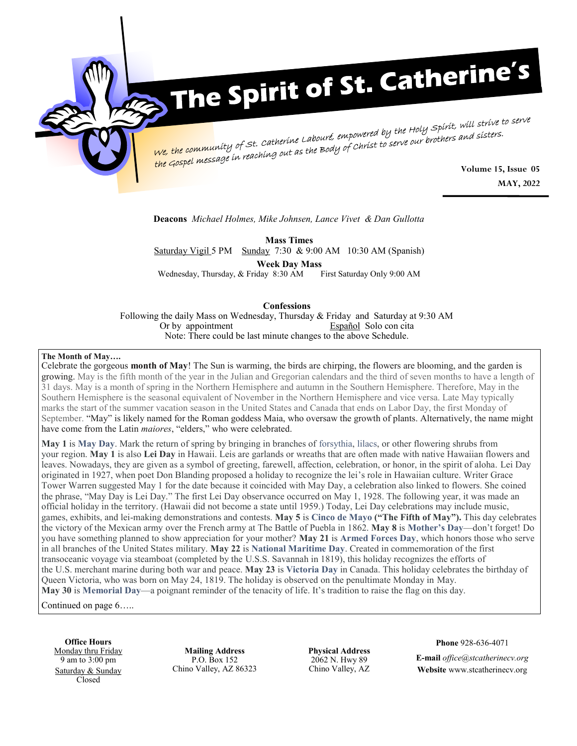

# The Spirit of St. Catherine's

We, the community of st. Catherine Labouré, empowered by the Holy Spirit, will strive to serve<br>We, the community of st. Catherine Labouré, empowered by the Holy Spirit, will strive to serve the Gospel message in reaching out as the Body of Christ to serve our brothers and sisters.<br>**Volume 15, Issue 05** 

**MAY, 2022**

**Deacons** *Michael Holmes, Mike Johnsen, Lance Vivet & Dan Gullotta*

**Mass Times** Saturday Vigil 5 PM Sunday 7:30 & 9:00 AM 10:30 AM (Spanish) **Week Day Mass** Wednesday, Thursday, & Friday 8:30 AM

### **Confessions**

Following the daily Mass on Wednesday, Thursday & Friday and Saturday at 9:30 AM Or by appointment Español Solo con cita Note: There could be last minute changes to the above Schedule.

### **The Month of May….**

Celebrate the gorgeous **month of May**! The Sun is warming, the birds are chirping, the flowers are blooming, and the garden is growing. May is the fifth month of the year in the Julian and Gregorian calendars and the third of seven months to have a length of 31 days. May is a month of spring in the Northern Hemisphere and autumn in the Southern Hemisphere. Therefore, May in the Southern Hemisphere is the seasonal equivalent of November in the Northern Hemisphere and vice versa. Late May typically marks the start of the summer vacation season in the United States and Canada that ends on Labor Day, the first Monday of September. "May" is likely named for the Roman goddess Maia, who oversaw the growth of plants. Alternatively, the name might have come from the Latin *maiores*, "elders," who were celebrated.

**May 1** is **[May Day](https://www.almanac.com/content/what-may-day)**. Mark the return of spring by bringing in branches of [forsythia,](https://www.almanac.com/plant/forsythia) [lilacs,](https://www.almanac.com/plant/lilacs) or other flowering shrubs from your region. **May 1** is also **Lei Day** in Hawaii. Leis are garlands or wreaths that are often made with native Hawaiian flowers and leaves. Nowadays, they are given as a symbol of greeting, farewell, affection, celebration, or honor, in the spirit of aloha. Lei Day originated in 1927, when poet Don Blanding proposed a holiday to recognize the lei's role in Hawaiian culture. Writer Grace Tower Warren suggested May 1 for the date because it coincided with May Day, a celebration also linked to flowers. She coined the phrase, "May Day is Lei Day." The first Lei Day observance occurred on May 1, 1928. The following year, it was made an official holiday in the territory. (Hawaii did not become a state until 1959.) Today, Lei Day celebrations may include music, games, exhibits, and lei-making demonstrations and contests. **May 5** is **[Cinco de Mayo](https://www.almanac.com/calendar/date/2022-05-05) ("The Fifth of May").** This day celebrates the victory of the Mexican army over the French army at The Battle of Puebla in 1862. **May 8** is **[Mother](https://www.almanac.com/content/when-is-mothers-day)'s Day**—don't forget! Do you have something planned to show appreciation for your mother? **May 21** is **[Armed Forces Day](https://www.almanac.com/calendar/date/2022-05-21)**, which honors those who serve in all branches of the United States military. **May 22** is **[National Maritime Day](https://www.almanac.com/calendar/date/2022-05-22)**. Created in commemoration of the first transoceanic voyage via steamboat (completed by the U.S.S. Savannah in 1819), this holiday recognizes the efforts of the U.S. merchant marine during both war and peace. **May 23** is **[Victoria Day](https://www.almanac.com/calendar/date/2022-05-23)** in Canada. This holiday celebrates the birthday of Queen Victoria, who was born on May 24, 1819. The holiday is observed on the penultimate Monday in May. **May 30** is **[Memorial Day](https://www.almanac.com/content/when-memorial-day)**—a poignant reminder of the tenacity of life. It's tradition to raise the flag on this day.

Continued on page 6…..

**Office Hours** Monday thru Friday 9 am to 3:00 pm Saturday & Sunday Closed

**Mailing Address** P.O. Box 152 Chino Valley, AZ 86323

**Physical Address** 2062 N. Hwy 89 Chino Valley, AZ **Phone** 928-636-4071

**E-mail** *office@stcatherinecv.org* **Website** www.stcatherinecv.org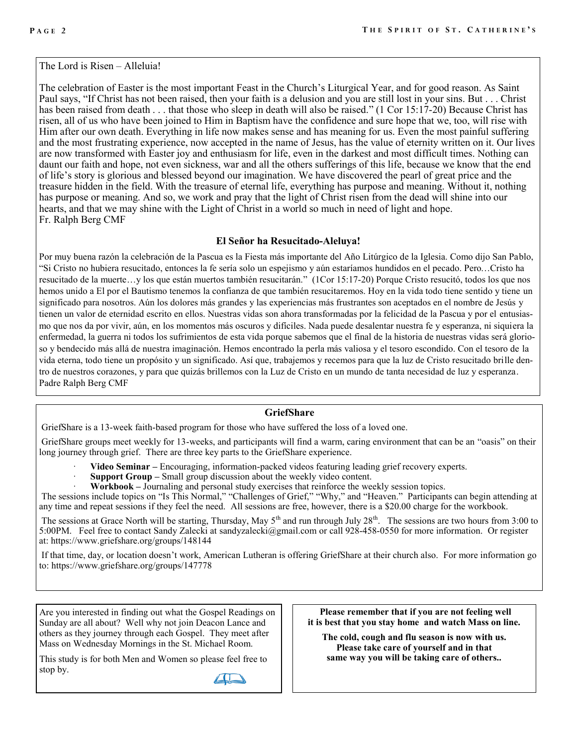The Lord is Risen – Alleluia!

The celebration of Easter is the most important Feast in the Church's Liturgical Year, and for good reason. As Saint Paul says, "If Christ has not been raised, then your faith is a delusion and you are still lost in your sins. But . . . Christ has been raised from death . . . that those who sleep in death will also be raised." (1 Cor 15:17-20) Because Christ has risen, all of us who have been joined to Him in Baptism have the confidence and sure hope that we, too, will rise with Him after our own death. Everything in life now makes sense and has meaning for us. Even the most painful suffering and the most frustrating experience, now accepted in the name of Jesus, has the value of eternity written on it. Our lives are now transformed with Easter joy and enthusiasm for life, even in the darkest and most difficult times. Nothing can daunt our faith and hope, not even sickness, war and all the others sufferings of this life, because we know that the end of life's story is glorious and blessed beyond our imagination. We have discovered the pearl of great price and the treasure hidden in the field. With the treasure of eternal life, everything has purpose and meaning. Without it, nothing has purpose or meaning. And so, we work and pray that the light of Christ risen from the dead will shine into our hearts, and that we may shine with the Light of Christ in a world so much in need of light and hope. Fr. Ralph Berg CMF

### **El Señor ha Resucitado-Aleluya!**

Por muy buena razón la celebración de la Pascua es la Fiesta más importante del Año Litúrgico de la Iglesia. Como dijo San Pablo, "Si Cristo no hubiera resucitado, entonces la fe sería solo un espejismo y aún estaríamos hundidos en el pecado. Pero…Cristo ha resucitado de la muerte…y los que están muertos también resucitarán." (1Cor 15:17-20) Porque Cristo resucitó, todos los que nos hemos unido a El por el Bautismo tenemos la confianza de que también resucitaremos. Hoy en la vida todo tiene sentido y tiene un significado para nosotros. Aún los dolores más grandes y las experiencias más frustrantes son aceptados en el nombre de Jesús y tienen un valor de eternidad escrito en ellos. Nuestras vidas son ahora transformadas por la felicidad de la Pascua y por el entusiasmo que nos da por vivir, aún, en los momentos más oscuros y difíciles. Nada puede desalentar nuestra fe y esperanza, ni siquiera la enfermedad, la guerra ni todos los sufrimientos de esta vida porque sabemos que el final de la historia de nuestras vidas será glorioso y bendecido más allá de nuestra imaginación. Hemos encontrado la perla más valiosa y el tesoro escondido. Con el tesoro de la vida eterna, todo tiene un propósito y un significado. Así que, trabajemos y recemos para que la luz de Cristo resucitado brille dentro de nuestros corazones, y para que quizás brillemos con la Luz de Cristo en un mundo de tanta necesidad de luz y esperanza. Padre Ralph Berg CMF

### **GriefShare**

GriefShare is a 13-week faith-based program for those who have suffered the loss of a loved one.

GriefShare groups meet weekly for 13-weeks, and participants will find a warm, caring environment that can be an "oasis" on their long journey through grief. There are three key parts to the GriefShare experience.

- · **Video Seminar –** Encouraging, information-packed videos featuring leading grief recovery experts.
- **Support Group –** Small group discussion about the weekly video content.
- · **Workbook –** Journaling and personal study exercises that reinforce the weekly session topics.

The sessions include topics on "Is This Normal," "Challenges of Grief," "Why," and "Heaven." Participants can begin attending at any time and repeat sessions if they feel the need. All sessions are free, however, there is a \$20.00 charge for the workbook.

The sessions at Grace North will be starting, Thursday, May 5<sup>th</sup> and run through July 28<sup>th</sup>. The sessions are two hours from 3:00 to 5:00PM. Feel free to contact Sandy Zalecki at sandyzalecki@gmail.com or call 928-458-0550 for more information. Or register at: https://www.griefshare.org/groups/148144

If that time, day, or location doesn't work, American Lutheran is offering GriefShare at their church also. For more information go to: https://www.griefshare.org/groups/147778

Are you interested in finding out what the Gospel Readings on Sunday are all about? Well why not join Deacon Lance and others as they journey through each Gospel. They meet after Mass on Wednesday Mornings in the St. Michael Room.

This study is for both Men and Women so please feel free to stop by.

**Please remember that if you are not feeling well it is best that you stay home and watch Mass on line.** 

**The cold, cough and flu season is now with us. Please take care of yourself and in that same way you will be taking care of others..**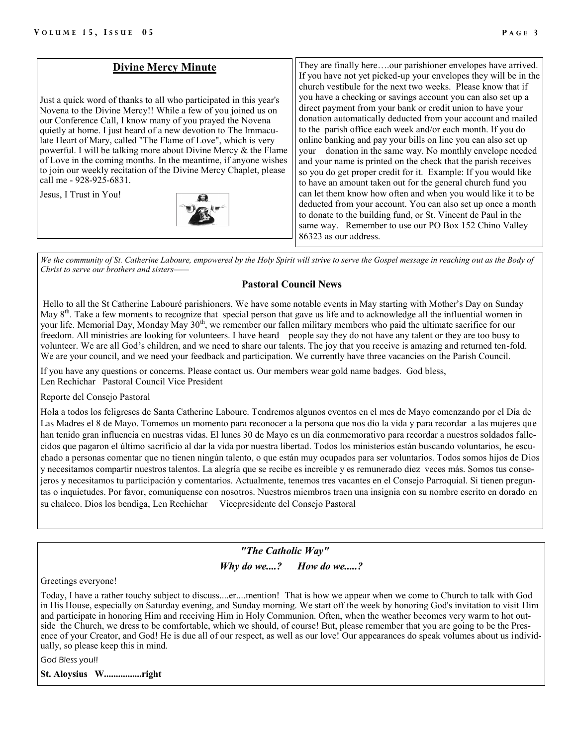### **Divine Mercy Minute** Just a quick word of thanks to all who participated in this year's Novena to the Divine Mercy!! While a few of you joined us on our Conference Call, I know many of you prayed the Novena quietly at home. I just heard of a new devotion to The Immaculate Heart of Mary, called "The Flame of Love", which is very powerful. I will be talking more about Divine Mercy & the Flame of Love in the coming months. In the meantime, if anyone wishes to join our weekly recitation of the Divine Mercy Chaplet, please call me - 928-925-6831. Jesus, I Trust in You! They are finally here….our parishioner envelopes have arrived. If you have not yet picked-up your envelopes they will be in the church vestibule for the next two weeks. Please know that if you have a checking or savings account you can also set up a direct payment from your bank or credit union to have your donation automatically deducted from your account and mailed to the parish office each week and/or each month. If you do online banking and pay your bills on line you can also set up your donation in the same way. No monthly envelope needed and your name is printed on the check that the parish receives so you do get proper credit for it. Example: If you would like to have an amount taken out for the general church fund you can let them know how often and when you would like it to be deducted from your account. You can also set up once a month to donate to the building fund, or St. Vincent de Paul in the same way. Remember to use our PO Box 152 Chino Valley 86323 as our address.

*We the community of St. Catherine Laboure, empowered by the Holy Spirit will strive to serve the Gospel message in reaching out as the Body of Christ to serve our brothers and sisters——* 

### **Pastoral Council News**

Hello to all the St Catherine Labouré parishioners. We have some notable events in May starting with Mother's Day on Sunday May  $8<sup>th</sup>$ . Take a few moments to recognize that special person that gave us life and to acknowledge all the influential women in your life. Memorial Day, Monday May  $30<sup>th</sup>$ , we remember our fallen military members who paid the ultimate sacrifice for our freedom. All ministries are looking for volunteers. I have heard people say they do not have any talent or they are too busy to volunteer. We are all God's children, and we need to share our talents. The joy that you receive is amazing and returned ten-fold. We are your council, and we need your feedback and participation. We currently have three vacancies on the Parish Council.

If you have any questions or concerns. Please contact us. Our members wear gold name badges. God bless, Len Rechichar Pastoral Council Vice President

Reporte del Consejo Pastoral

Hola a todos los feligreses de Santa Catherine Laboure. Tendremos algunos eventos en el mes de Mayo comenzando por el Día de Las Madres el 8 de Mayo. Tomemos un momento para reconocer a la persona que nos dio la vida y para recordar a las mujeres que han tenido gran influencia en nuestras vidas. El lunes 30 de Mayo es un día conmemorativo para recordar a nuestros soldados fallecidos que pagaron el último sacrificio al dar la vida por nuestra libertad. Todos los ministerios están buscando voluntarios, he escuchado a personas comentar que no tienen ningún talento, o que están muy ocupados para ser voluntarios. Todos somos hijos de Dios y necesitamos compartir nuestros talentos. La alegría que se recibe es increíble y es remunerado diez veces más. Somos tus consejeros y necesitamos tu participación y comentarios. Actualmente, tenemos tres vacantes en el Consejo Parroquial. Si tienen preguntas o inquietudes. Por favor, comuníquense con nosotros. Nuestros miembros traen una insignia con su nombre escrito en dorado en su chaleco. Dios los bendiga, Len Rechichar Vicepresidente del Consejo Pastoral

> *"The Catholic Way" Why do we....? How do we.....?*

Greetings everyone!

Today, I have a rather touchy subject to discuss....er....mention! That is how we appear when we come to Church to talk with God in His House, especially on Saturday evening, and Sunday morning. We start off the week by honoring God's invitation to visit Him and participate in honoring Him and receiving Him in Holy Communion. Often, when the weather becomes very warm to hot outside the Church, we dress to be comfortable, which we should, of course! But, please remember that you are going to be the Presence of your Creator, and God! He is due all of our respect, as well as our love! Our appearances do speak volumes about us individually, so please keep this in mind.

God Bless you!!

**St. Aloysius W................right**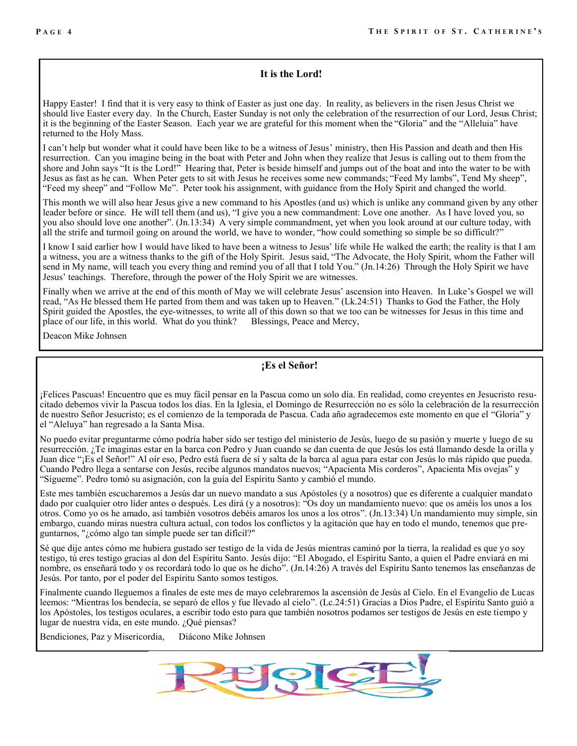### **It is the Lord!**

Happy Easter! I find that it is very easy to think of Easter as just one day. In reality, as believers in the risen Jesus Christ we should live Easter every day. In the Church, Easter Sunday is not only the celebration of the resurrection of our Lord, Jesus Christ; it is the beginning of the Easter Season. Each year we are grateful for this moment when the "Gloria" and the "Alleluia" have returned to the Holy Mass.

I can't help but wonder what it could have been like to be a witness of Jesus' ministry, then His Passion and death and then His resurrection. Can you imagine being in the boat with Peter and John when they realize that Jesus is calling out to them from the shore and John says "It is the Lord!" Hearing that, Peter is beside himself and jumps out of the boat and into the water to be with Jesus as fast as he can. When Peter gets to sit with Jesus he receives some new commands; "Feed My lambs", Tend My sheep", "Feed my sheep" and "Follow Me". Peter took his assignment, with guidance from the Holy Spirit and changed the world.

This month we will also hear Jesus give a new command to his Apostles (and us) which is unlike any command given by any other leader before or since. He will tell them (and us), "I give you a new commandment: Love one another. As I have loved you, so you also should love one another". (Jn.13:34) A very simple commandment, yet when you look around at our culture today, with all the strife and turmoil going on around the world, we have to wonder, "how could something so simple be so difficult?"

I know I said earlier how I would have liked to have been a witness to Jesus' life while He walked the earth; the reality is that I am a witness, you are a witness thanks to the gift of the Holy Spirit. Jesus said, "The Advocate, the Holy Spirit, whom the Father will send in My name, will teach you every thing and remind you of all that I told You." (Jn.14:26) Through the Holy Spirit we have Jesus' teachings. Therefore, through the power of the Holy Spirit we are witnesses.

Finally when we arrive at the end of this month of May we will celebrate Jesus' ascension into Heaven. In Luke's Gospel we will read, "As He blessed them He parted from them and was taken up to Heaven." (Lk.24:51) Thanks to God the Father, the Holy Spirit guided the Apostles, the eye-witnesses, to write all of this down so that we too can be witnesses for Jesus in this time and place of our life, in this world. What do you think? Blessings, Peace and Mercy,

Deacon Mike Johnsen

# **¡Es el Señor!**

¡Felices Pascuas! Encuentro que es muy fácil pensar en la Pascua como un solo día. En realidad, como creyentes en Jesucristo resucitado debemos vivir la Pascua todos los días. En la Iglesia, el Domingo de Resurrección no es sólo la celebración de la resurrección de nuestro Señor Jesucristo; es el comienzo de la temporada de Pascua. Cada año agradecemos este momento en que el "Gloria" y el "Aleluya" han regresado a la Santa Misa.

No puedo evitar preguntarme cómo podría haber sido ser testigo del ministerio de Jesús, luego de su pasión y muerte y luego de su resurrección. ¿Te imaginas estar en la barca con Pedro y Juan cuando se dan cuenta de que Jesús los está llamando desde la orilla y Juan dice "¡Es el Señor!" Al oír eso, Pedro está fuera de sí y salta de la barca al agua para estar con Jesús lo más rápido que pueda. Cuando Pedro llega a sentarse con Jesús, recibe algunos mandatos nuevos; "Apacienta Mis corderos", Apacienta Mis ovejas" y "Sígueme". Pedro tomó su asignación, con la guía del Espíritu Santo y cambió el mundo.

Este mes también escucharemos a Jesús dar un nuevo mandato a sus Apóstoles (y a nosotros) que es diferente a cualquier mandato dado por cualquier otro líder antes o después. Les dirá (y a nosotros): "Os doy un mandamiento nuevo: que os améis los unos a los otros. Como yo os he amado, así también vosotros debéis amaros los unos a los otros". (Jn.13:34) Un mandamiento muy simple, sin embargo, cuando miras nuestra cultura actual, con todos los conflictos y la agitación que hay en todo el mundo, tenemos que preguntarnos, "¿cómo algo tan simple puede ser tan difícil?"

Sé que dije antes cómo me hubiera gustado ser testigo de la vida de Jesús mientras caminó por la tierra, la realidad es que yo soy testigo, tú eres testigo gracias al don del Espíritu Santo. Jesús dijo: "El Abogado, el Espíritu Santo, a quien el Padre enviará en mi nombre, os enseñará todo y os recordará todo lo que os he dicho". (Jn.14:26) A través del Espíritu Santo tenemos las enseñanzas de Jesús. Por tanto, por el poder del Espíritu Santo somos testigos.

Finalmente cuando lleguemos a finales de este mes de mayo celebraremos la ascensión de Jesús al Cielo. En el Evangelio de Lucas leemos: "Mientras los bendecía, se separó de ellos y fue llevado al cielo". (Lc.24:51) Gracias a Dios Padre, el Espíritu Santo guió a los Apóstoles, los testigos oculares, a escribir todo esto para que también nosotros podamos ser testigos de Jesús en este tiempo y lugar de nuestra vida, en este mundo. ¿Qué piensas?

Bendiciones, Paz y Misericordia, Diácono Mike Johnsen

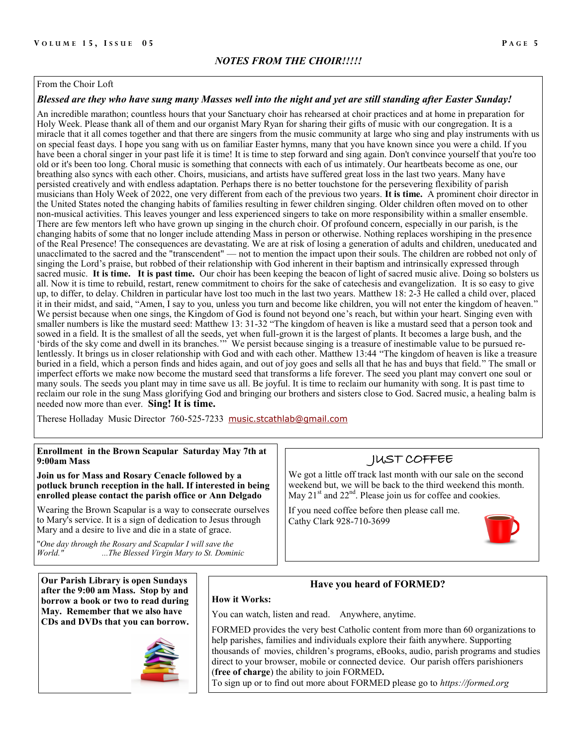### From the Choir Loft

### *Blessed are they who have sung many Masses well into the night and yet are still standing after Easter Sunday!*

An incredible marathon; countless hours that your Sanctuary choir has rehearsed at choir practices and at home in preparation for Holy Week. Please thank all of them and our organist Mary Ryan for sharing their gifts of music with our congregation. It is a miracle that it all comes together and that there are singers from the music community at large who sing and play instruments with us on special feast days. I hope you sang with us on familiar Easter hymns, many that you have known since you were a child. If you have been a choral singer in your past life it is time! It is time to step forward and sing again. Don't convince yourself that you're too old or it's been too long. Choral music is something that connects with each of us intimately. Our heartbeats become as one, our breathing also syncs with each other. Choirs, musicians, and artists have suffered great loss in the last two years. Many have persisted creatively and with endless adaptation. Perhaps there is no better touchstone for the persevering flexibility of parish musicians than Holy Week of 2022, one very different from each of the previous two years. **It is time.** A prominent choir director in the United States noted the changing habits of families resulting in fewer children singing. Older children often moved on to other non-musical activities. This leaves younger and less experienced singers to take on more responsibility within a smaller ensemble. There are few mentors left who have grown up singing in the church choir. Of profound concern, especially in our parish, is the changing habits of some that no longer include attending Mass in person or otherwise. Nothing replaces worshiping in the presence of the Real Presence! The consequences are devastating. We are at risk of losing a generation of adults and children, uneducated and unacclimated to the sacred and the "transcendent" — not to mention the impact upon their souls. The children are robbed not only of singing the Lord's praise, but robbed of their relationship with God inherent in their baptism and intrinsically expressed through sacred music. **It is time. It is past time.** Our choir has been keeping the beacon of light of sacred music alive. Doing so bolsters us all. Now it is time to rebuild, restart, renew commitment to choirs for the sake of catechesis and evangelization. It is so easy to give up, to differ, to delay. Children in particular have lost too much in the last two years. Matthew 18: 2-3 He called a child over, placed it in their midst, and said, "Amen, I say to you, unless you turn and become like children, you will not enter the kingdom of heaven." We persist because when one sings, the Kingdom of God is found not beyond one's reach, but within your heart. Singing even with smaller numbers is like the mustard seed: Matthew 13: 31-32 "The kingdom of heaven is like a mustard seed that a person took and sowed in a field. It is the smallest of all the seeds, yet when full-grown it is the largest of plants. It becomes a large bush, and the 'birds of the sky come and dwell in its branches.'" We persist because singing is a treasure of inestimable value to be pursued relentlessly. It brings us in closer relationship with God and with each other. Matthew 13:44 "The kingdom of heaven is like a treasure buried in a field, which a person finds and hides again, and out of joy goes and sells all that he has and buys that field." The small or imperfect efforts we make now become the mustard seed that transforms a life forever. The seed you plant may convert one soul or many souls. The seeds you plant may in time save us all. Be joyful. It is time to reclaim our humanity with song. It is past time to reclaim our role in the sung Mass glorifying God and bringing our brothers and sisters close to God. Sacred music, a healing balm is needed now more than ever. **Sing! It is time.**

Therese Holladay Music Director 760-525-7233 [music.stcathlab@gmail.com](mailto:music.stcathlab@gmail.com)

### **Enrollment in the Brown Scapular Saturday May 7th at 9:00am Mass**

**Join us for Mass and Rosary Cenacle followed by a potluck brunch reception in the hall. If interested in being enrolled please contact the parish office or Ann Delgado**

Wearing the Brown Scapular is a way to consecrate ourselves to Mary's service. It is a sign of dedication to Jesus through Mary and a desire to live and die in a state of grace.

"*One day through the Rosary and Scapular I will save the World." ...The Blessed Virgin Mary to St. Dominic*

**Our Parish Library is open Sundays after the 9:00 am Mass. Stop by and borrow a book or two to read during May. Remember that we also have CDs and DVDs that you can borrow.**



# JUST COFFEE

We got a little off track last month with our sale on the second weekend but, we will be back to the third weekend this month. May  $21<sup>st</sup>$  and  $22<sup>nd</sup>$ . Please join us for coffee and cookies.

If you need coffee before then please call me. Cathy Clark 928-710-3699



### **Have you heard of FORMED?**

You can watch, listen and read. Anywhere, anytime.

**How it Works:**

FORMED provides the very best Catholic content from more than 60 organizations to help parishes, families and individuals explore their faith anywhere. Supporting thousands of movies, children's programs, eBooks, audio, parish programs and studies direct to your browser, mobile or connected device. Our parish offers parishioners (**free of charge**) the ability to join FORMED**.** 

To sign up or to find out more about FORMED please go to *https://formed.org*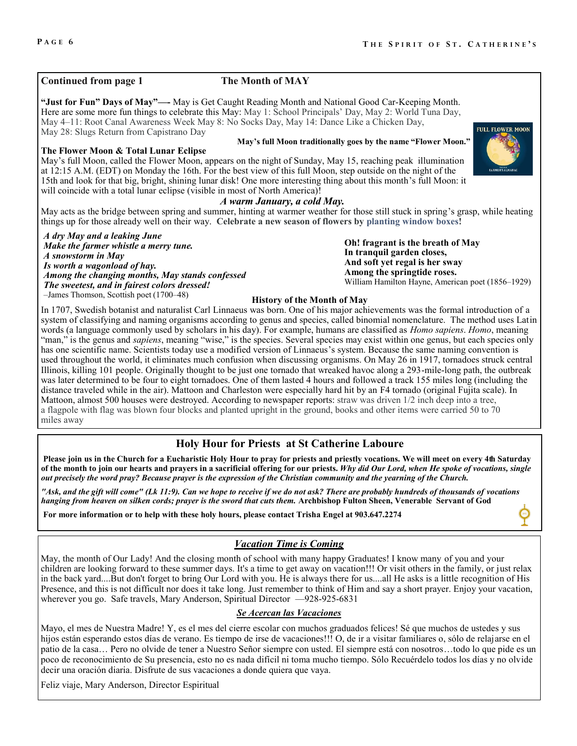### **Continued from page 1 The Month of MAY**

**"Just for Fun" Days of May"—-** May is Get Caught Reading Month and National Good Car-Keeping Month. Here are some more fun things to celebrate this May: May 1: School Principals' Day, May 2: World Tuna Day, May 4–11: Root Canal Awareness Week May 8: No Socks Day, May 14: Dance Like a Chicken Day, May 28: Slugs Return from Capistrano Day

### **The Flower Moon & Total Lunar Eclipse**

May's full Moon, called the Flower Moon, appears on the night of Sunday, May 15, reaching peak illumination at 12:15 A.M. (EDT) on Monday the 16th. For the best view of this full Moon, step outside on the night of the 15th and look for that big, bright, shining lunar disk! One more interesting thing about this month's full Moon: it will coincide with a total lunar eclipse (visible in most of North America)!

### *A warm January, a cold May.*

May acts as the bridge between spring and summer, hinting at warmer weather for those still stuck in spring's grasp, while heating things up for those already well on their way. **Celebrate a new season of flowers by [planting window boxes!](https://www.almanac.com/content/best-plants-window-boxes)**

*A dry May and a leaking June Make the farmer whistle a merry tune. A snowstorm in May Is worth a wagonload of hay. Among the changing months, May stands confessed The sweetest, and in fairest colors dressed!* –James Thomson, Scottish poet (1700–48)

**Oh! fragrant is the breath of May In tranquil garden closes, And soft yet regal is her sway Among the springtide roses.** William Hamilton Hayne, American poet (1856–1929)

### **History of the Month of May**

In 1707, Swedish botanist and naturalist Carl Linnaeus was born. One of his major achievements was the formal introduction of a system of classifying and naming organisms according to genus and species, called binomial nomenclature. The method uses Latin words (a language commonly used by scholars in his day). For example, humans are classified as *Homo sapiens*. *Homo*, meaning "man," is the genus and *sapiens*, meaning "wise," is the species. Several species may exist within one genus, but each species only has one scientific name. Scientists today use a modified version of Linnaeus's system. Because the same naming convention is used throughout the world, it eliminates much confusion when discussing organisms. On May 26 in 1917, tornadoes struck central Illinois, killing 101 people. Originally thought to be just one tornado that wreaked havoc along a 293-mile-long path, the outbreak was later determined to be four to eight tornadoes. One of them lasted 4 hours and followed a track 155 miles long (including the distance traveled while in the air). Mattoon and Charleston were especially hard hit by an F4 tornado (original Fujita scale). In Mattoon, almost 500 houses were destroyed. According to newspaper reports: straw was driven 1/2 inch deep into a tree, a flagpole with flag was blown four blocks and planted upright in the ground, books and other items were carried 50 to 70 miles away

### **Holy Hour for Priests at St Catherine Laboure**

**Please join us in the Church for a Eucharistic Holy Hour to pray for priests and priestly vocations. We will meet on every 4th Saturday of the month to join our hearts and prayers in a sacrificial offering for our priests.** *Why did Our Lord, when He spoke of vocations, single out precisely the word pray? Because prayer is the expression of the Christian community and the yearning of the Church.*

*"Ask, and the gift will come" (Lk 11:9). Can we hope to receive if we do not ask? There are probably hundreds of thousands of vocations hanging from heaven on silken cords; prayer is the sword that cuts them.* **Archbishop Fulton Sheen, Venerable Servant of God** 

**For more information or to help with these holy hours, please contact Trisha Engel at 903.647.2274**

### *Vacation Time is Coming*

May, the month of Our Lady! And the closing month of school with many happy Graduates! I know many of you and your children are looking forward to these summer days. It's a time to get away on vacation!!! Or visit others in the family, or just relax in the back yard....But don't forget to bring Our Lord with you. He is always there for us....all He asks is a little recognition of His Presence, and this is not difficult nor does it take long. Just remember to think of Him and say a short prayer. Enjoy your vacation, wherever you go. Safe travels, Mary Anderson, Spiritual Director —928-925-6831

### *Se Acercan las Vacaciones*

Mayo, el mes de Nuestra Madre! Y, es el mes del cierre escolar con muchos graduados felices! Sé que muchos de ustedes y sus hijos están esperando estos días de verano. Es tiempo de irse de vacaciones!!! O, de ir a visitar familiares o, sólo de relajarse en el patio de la casa… Pero no olvide de tener a Nuestro Señor siempre con usted. El siempre está con nosotros…todo lo que pide es un poco de reconocimiento de Su presencia, esto no es nada difícil ni toma mucho tiempo. Sólo Recuérdelo todos los días y no olvide decir una oración diaria. Disfrute de sus vacaciones a donde quiera que vaya.

Feliz viaje, Mary Anderson, Director Espiritual

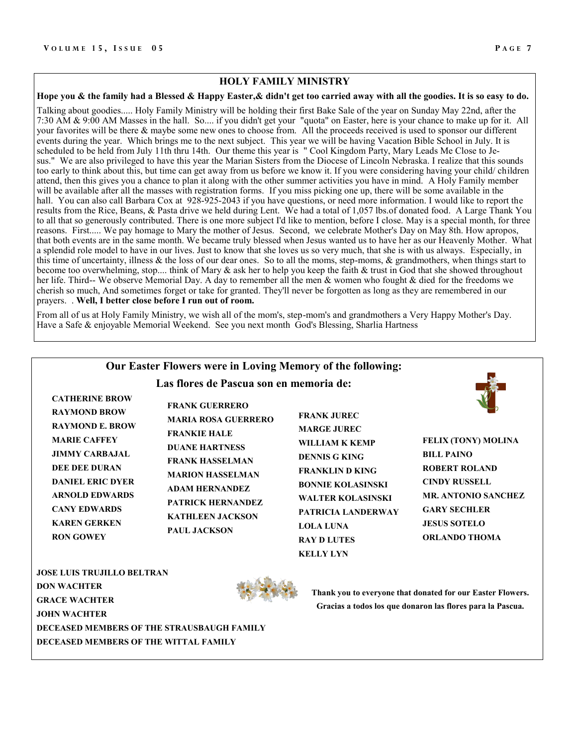### **HOLY FAMILY MINISTRY**

### **Hope you & the family had a Blessed & Happy Easter,& didn't get too carried away with all the goodies. It is so easy to do.**

Talking about goodies..... Holy Family Ministry will be holding their first Bake Sale of the year on Sunday May 22nd, after the 7:30 AM & 9:00 AM Masses in the hall. So.... if you didn't get your "quota" on Easter, here is your chance to make up for it. All your favorites will be there & maybe some new ones to choose from. All the proceeds received is used to sponsor our different events during the year. Which brings me to the next subject. This year we will be having Vacation Bible School in July. It is scheduled to be held from July 11th thru 14th. Our theme this year is " Cool Kingdom Party, Mary Leads Me Close to Jesus." We are also privileged to have this year the Marian Sisters from the Diocese of Lincoln Nebraska. I realize that this sounds too early to think about this, but time can get away from us before we know it. If you were considering having your child/ children attend, then this gives you a chance to plan it along with the other summer activities you have in mind. A Holy Family member will be available after all the masses with registration forms. If you miss picking one up, there will be some available in the hall. You can also call Barbara Cox at 928-925-2043 if you have questions, or need more information. I would like to report the results from the Rice, Beans, & Pasta drive we held during Lent. We had a total of 1,057 lbs.of donated food. A Large Thank You to all that so generously contributed. There is one more subject I'd like to mention, before I close. May is a special month, for three reasons. First..... We pay homage to Mary the mother of Jesus. Second, we celebrate Mother's Day on May 8th. How apropos, that both events are in the same month. We became truly blessed when Jesus wanted us to have her as our Heavenly Mother. What a splendid role model to have in our lives. Just to know that she loves us so very much, that she is with us always. Especially, in this time of uncertainty, illness & the loss of our dear ones. So to all the moms, step-moms, & grandmothers, when things start to become too overwhelming, stop.... think of Mary & ask her to help you keep the faith & trust in God that she showed throughout her life. Third-- We observe Memorial Day. A day to remember all the men & women who fought & died for the freedoms we cherish so much, And sometimes forget or take for granted. They'll never be forgotten as long as they are remembered in our prayers. . **Well, I better close before I run out of room.**

From all of us at Holy Family Ministry, we wish all of the mom's, step-mom's and grandmothers a Very Happy Mother's Day. Have a Safe & enjoyable Memorial Weekend. See you next month God's Blessing, Sharlia Hartness

### **Our Easter Flowers were in Loving Memory of the following:**

**Las flores de Pascua son en memoria de:**

| <b>CATHERINE BROW</b>  |
|------------------------|
| <b>RAYMOND BROW</b>    |
| <b>RAYMOND E. BROW</b> |
| <b>MARIE CAFFEY</b>    |
| JIMMY CARBAJAL         |
| DEE DEE DURAN          |
| DANIEL ERIC DYER       |
| <b>ARNOLD EDWARDS</b>  |
| <b>CANY EDWARDS</b>    |
| KAREN GERKEN           |
| <b>RON GOWEY</b>       |

**FRANK GUERRERO MARIA ROSA GUERRERO FRANKIE HALE DUANE HARTNESS FRANK HASSELMAN MARION HASSELMAN ADAM HERNANDEZ PATRICK HERNANDEZ KATHLEEN JACKSON PAUL JACKSON**

**FRANK JUREC MARGE JUREC WILLIAM K KEMP DENNIS G KING FRANKLIN D KING BONNIE KOLASINSKI WALTER KOLASINSKI PATRICIA LANDERWAY LOLA LUNA RAY D LUTES KELLY LYN**



**FELIX (TONY) MOLINA BILL PAINO ROBERT ROLAND CINDY RUSSELL MR. ANTONIO SANCHEZ GARY SECHLER JESUS SOTELO ORLANDO THOMA**

**JOSE LUIS TRUJILLO BELTRAN DON WACHTER GRACE WACHTER JOHN WACHTER DECEASED MEMBERS OF THE STRAUSBAUGH FAMILY DECEASED MEMBERS OF THE WITTAL FAMILY**



**Thank you to everyone that donated for our Easter Flowers. Gracias a todos los que donaron las flores para la Pascua.**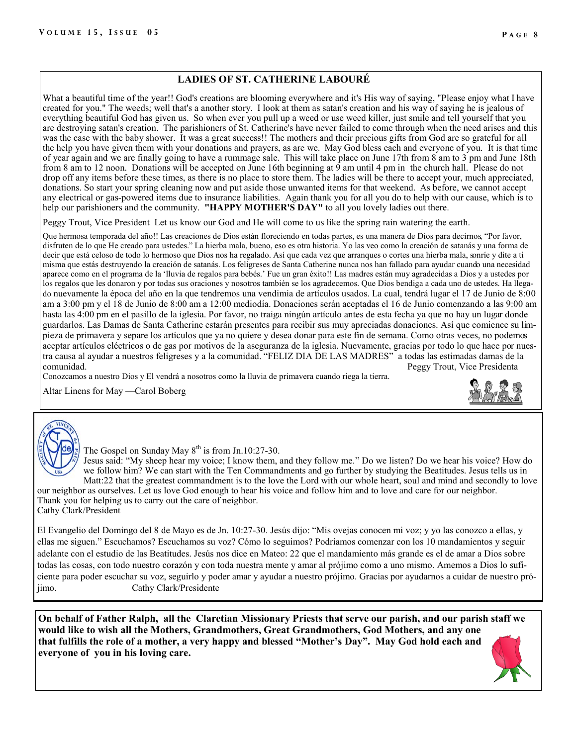### **LADIES OF ST. CATHERINE LABOURÉ**

What a beautiful time of the year!! God's creations are blooming everywhere and it's His way of saying, "Please enjoy what I have created for you." The weeds; well that's a another story. I look at them as satan's creation and his way of saying he is jealous of everything beautiful God has given us. So when ever you pull up a weed or use weed killer, just smile and tell yourself that you are destroying satan's creation. The parishioners of St. Catherine's have never failed to come through when the need arises and this was the case with the baby shower. It was a great success!! The mothers and their precious gifts from God are so grateful for all the help you have given them with your donations and prayers, as are we. May God bless each and everyone of you. It is that time of year again and we are finally going to have a rummage sale. This will take place on June 17th from 8 am to 3 pm and June 18th from 8 am to 12 noon. Donations will be accepted on June 16th beginning at 9 am until 4 pm in the church hall. Please do not drop off any items before these times, as there is no place to store them. The ladies will be there to accept your, much appreciated, donations. So start your spring cleaning now and put aside those unwanted items for that weekend. As before, we cannot accept any electrical or gas-powered items due to insurance liabilities. Again thank you for all you do to help with our cause, which is to help our parishioners and the community. **"HAPPY MOTHER'S DAY"** to all you lovely ladies out there.

Peggy Trout, Vice President Let us know our God and He will come to us like the spring rain watering the earth.

Que hermosa temporada del año!! Las creaciones de Dios están floreciendo en todas partes, es una manera de Dios para decirnos, "Por favor, disfruten de lo que He creado para ustedes." La hierba mala, bueno, eso es otra historia. Yo las veo como la creación de satanás y una forma de decir que está celoso de todo lo hermoso que Dios nos ha regalado. Así que cada vez que arranques o cortes una hierba mala, sonríe y dite a ti misma que estás destruyendo la creación de satanás. Los feligreses de Santa Catherine nunca nos han fallado para ayudar cuando una necesidad aparece como en el programa de la 'lluvia de regalos para bebés.' Fue un gran éxito!! Las madres están muy agradecidas a Dios y a ustedes por los regalos que les donaron y por todas sus oraciones y nosotros también se los agradecemos. Que Dios bendiga a cada uno de ustedes. Ha llegado nuevamente la época del año en la que tendremos una vendimia de artículos usados. La cual, tendrá lugar el 17 de Junio de 8:00 am a 3:00 pm y el 18 de Junio de 8:00 am a 12:00 mediodía. Donaciones serán aceptadas el 16 de Junio comenzando a las 9:00 am hasta las 4:00 pm en el pasillo de la iglesia. Por favor, no traiga ningún artículo antes de esta fecha ya que no hay un lugar donde guardarlos. Las Damas de Santa Catherine estarán presentes para recibir sus muy apreciadas donaciones. Así que comience su limpieza de primavera y separe los artículos que ya no quiere y desea donar para este fin de semana. Como otras veces, no podemos aceptar artículos eléctricos o de gas por motivos de la aseguranza de la iglesia. Nuevamente, gracias por todo lo que hace por nuestra causa al ayudar a nuestros feligreses y a la comunidad. "FELIZ DIA DE LAS MADRES" a todas las estimadas damas de la Peggy Trout, Vice Presidenta

Conozcamos a nuestro Dios y El vendrá a nosotros como la lluvia de primavera cuando riega la tierra.

Altar Linens for May —Carol Boberg





The Gospel on Sunday May  $8<sup>th</sup>$  is from Jn.10:27-30.

Jesus said: "My sheep hear my voice; I know them, and they follow me." Do we listen? Do we hear his voice? How do we follow him? We can start with the Ten Commandments and go further by studying the Beatitudes. Jesus tells us in Matt:22 that the greatest commandment is to the love the Lord with our whole heart, soul and mind and secondly to love our neighbor as ourselves. Let us love God enough to hear his voice and follow him and to love and care for our neighbor.

Thank you for helping us to carry out the care of neighbor. Cathy Clark/President

El Evangelio del Domingo del 8 de Mayo es de Jn. 10:27-30. Jesús dijo: "Mis ovejas conocen mi voz; y yo las conozco a ellas, y ellas me siguen." Escuchamos? Escuchamos su voz? Cómo lo seguimos? Podríamos comenzar con los 10 mandamientos y seguir adelante con el estudio de las Beatitudes. Jesús nos dice en Mateo: 22 que el mandamiento más grande es el de amar a Dios sobre todas las cosas, con todo nuestro corazón y con toda nuestra mente y amar al prójimo como a uno mismo. Amemos a Dios lo suficiente para poder escuchar su voz, seguirlo y poder amar y ayudar a nuestro prójimo. Gracias por ayudarnos a cuidar de nuestro prójimo. Cathy Clark/Presidente

**On behalf of Father Ralph, all the Claretian Missionary Priests that serve our parish, and our parish staff we would like to wish all the Mothers, Grandmothers, Great Grandmothers, God Mothers, and any one that fulfills the role of a mother, a very happy and blessed "Mother's Day". May God hold each and everyone of you in his loving care.**

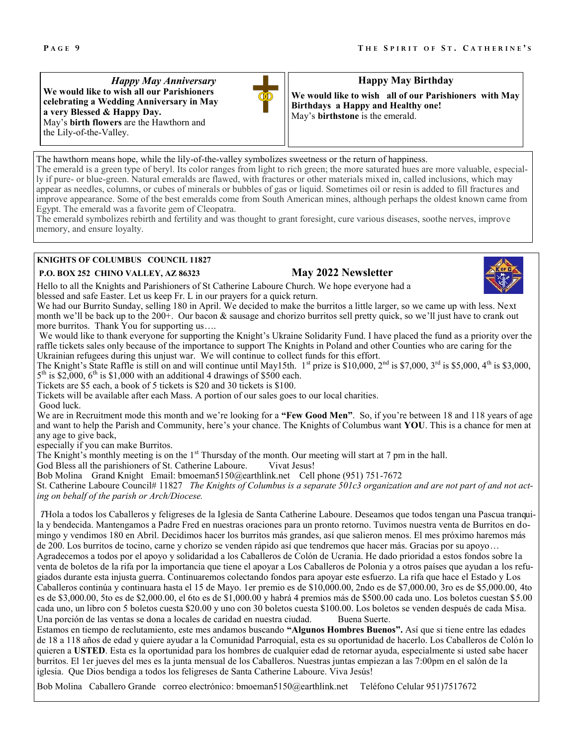*Happy May Anniversary*  **We would like to wish all our Parishioners celebrating a Wedding Anniversary in May a very Blessed & Happy Day.**  May's **birth flowers** are the Hawthorn and the Lily-of-the-Valley.

### **Happy May Birthday**

**We would like to wish all of our Parishioners with May Birthdays a Happy and Healthy one!**  May's **birthstone** is the emerald.

The hawthorn means hope, while the lily-of-the-valley symbolizes sweetness or the return of happiness. The emerald is a green type of beryl. Its color ranges from light to rich green; the more saturated hues are more valuable, especially if pure- or blue-green. Natural emeralds are flawed, with fractures or other materials mixed in, called inclusions, which may appear as needles, columns, or cubes of minerals or bubbles of gas or liquid. Sometimes oil or resin is added to fill fractures and improve appearance. Some of the best emeralds come from South American mines, although perhaps the oldest known came from Egypt. The emerald was a favorite gem of Cleopatra.

The emerald symbolizes rebirth and fertility and was thought to grant foresight, cure various diseases, soothe nerves, improve memory, and ensure loyalty.

### **KNIGHTS OF COLUMBUS COUNCIL 11827**

### **P.O. BOX 252 CHINO VALLEY, AZ 86323 May 2022 Newsletter**

Hello to all the Knights and Parishioners of St Catherine Laboure Church. We hope everyone had a blessed and safe Easter. Let us keep Fr. L in our prayers for a quick return.

We had our Burrito Sunday, selling 180 in April. We decided to make the burritos a little larger, so we came up with less. Next month we'll be back up to the 200+. Our bacon & sausage and chorizo burritos sell pretty quick, so we'll just have to crank out more burritos. Thank You for supporting us....

We would like to thank everyone for supporting the Knight's Ukraine Solidarity Fund. I have placed the fund as a priority over the raffle tickets sales only because of the importance to support The Knights in Poland and other Counties who are caring for the Ukrainian refugees during this unjust war. We will continue to collect funds for this effort.

The Knight's State Raffle is still on and will continue until May15th. 1st prize is \$10,000, 2<sup>nd</sup> is \$7,000, 3<sup>rd</sup> is \$5,000, 4<sup>th</sup> is \$3,000,  $5<sup>th</sup>$  is \$2,000, 6<sup>th</sup> is \$1,000 with an additional 4 drawings of \$500 each.

Tickets are \$5 each, a book of 5 tickets is \$20 and 30 tickets is \$100.

Tickets will be available after each Mass. A portion of our sales goes to our local charities.

Good luck.

We are in Recruitment mode this month and we're looking for a **"Few Good Men"**. So, if you're between 18 and 118 years of age and want to help the Parish and Community, here's your chance. The Knights of Columbus want **YOU**. This is a chance for men at any age to give back,

especially if you can make Burritos.

The Knight's monthly meeting is on the 1<sup>st</sup> Thursday of the month. Our meeting will start at 7 pm in the hall.

God Bless all the parishioners of St. Catherine Laboure. Vivat Jesus!

Bob Molina Grand Knight Email: bmoeman5150@earthlink.net Cell phone (951) 751-7672

St. Catherine Laboure Council# 11827 *The Knights of Columbus is a separate 501c3 organization and are not part of and not acting on behalf of the parish or Arch/Diocese.*

*T*Hola a todos los Caballeros y feligreses de la Iglesia de Santa Catherine Laboure. Deseamos que todos tengan una Pascua tranquila y bendecida. Mantengamos a Padre Fred en nuestras oraciones para un pronto retorno. Tuvimos nuestra venta de Burritos en domingo y vendimos 180 en Abril. Decidimos hacer los burritos más grandes, así que salieron menos. El mes próximo haremos más de 200. Los burritos de tocino, carne y chorizo se venden rápido así que tendremos que hacer más. Gracias por su apoyo… Agradecemos a todos por el apoyo y solidaridad a los Caballeros de Colón de Ucrania. He dado prioridad a estos fondos sobre la venta de boletos de la rifa por la importancia que tiene el apoyar a Los Caballeros de Polonia y a otros países que ayudan a los refugiados durante esta injusta guerra. Continuaremos colectando fondos para apoyar este esfuerzo. La rifa que hace el Estado y Los Caballeros continúa y continuara hasta el 15 de Mayo. 1er premio es de \$10,000.00, 2ndo es de \$7,000.00, 3ro es de \$5,000.00, 4to es de \$3,000.00, 5to es de \$2,000.00, el 6to es de \$1,000.00 y habrá 4 premios más de \$500.00 cada uno. Los boletos cuestan \$5.00 cada uno, un libro con 5 boletos cuesta \$20.00 y uno con 30 boletos cuesta \$100.00. Los boletos se venden después de cada Misa. Una porción de las ventas se dona a locales de caridad en nuestra ciudad. Buena Suerte.

Estamos en tiempo de reclutamiento, este mes andamos buscando **"Algunos Hombres Buenos".** Así que si tiene entre las edades de 18 a 118 años de edad y quiere ayudar a la Comunidad Parroquial, esta es su oportunidad de hacerlo. Los Caballeros de Colón lo quieren a USTED. Esta es la oportunidad para los hombres de cualquier edad de retornar ayuda, especialmente si usted sabe hacer burritos. El 1er jueves del mes es la junta mensual de los Caballeros. Nuestras juntas empiezan a las 7:00pm en el salón de la iglesia. Que Dios bendiga a todos los feligreses de Santa Catherine Laboure. Viva Jesús!

Bob Molina Caballero Grande correo electrónico: bmoeman5150@earthlink.net Teléfono Celular 951)7517672

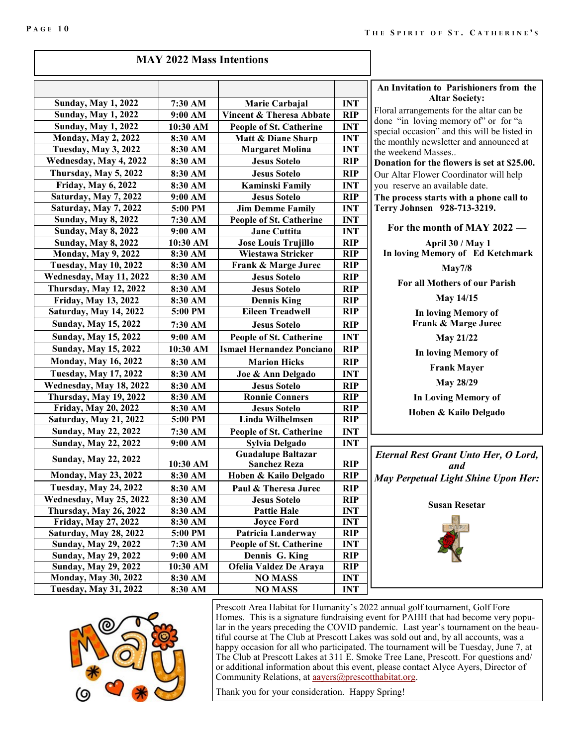| <b>MAY 2022 Mass Intentions</b> |  |
|---------------------------------|--|
|---------------------------------|--|

|                               |          |                                  |            | An Invitation to                      |
|-------------------------------|----------|----------------------------------|------------|---------------------------------------|
| <b>Sunday, May 1, 2022</b>    | 7:30 AM  | Marie Carbajal                   | <b>INT</b> | Aŀ                                    |
| <b>Sunday, May 1, 2022</b>    | 9:00 AM  | Vincent & Theresa Abbate         | <b>RIP</b> | Floral arrangeme                      |
| <b>Sunday, May 1, 2022</b>    | 10:30 AM | People of St. Catherine          | <b>INT</b> | done "in loving                       |
| <b>Monday, May 2, 2022</b>    | 8:30 AM  | Matt & Diane Sharp               | <b>INT</b> | special occasion"<br>the monthly news |
| Tuesday, May 3, 2022          | 8:30 AM  | <b>Margaret Molina</b>           | <b>INT</b> | the weekend Mas                       |
| Wednesday, May 4, 2022        | 8:30 AM  | <b>Jesus Sotelo</b>              | <b>RIP</b> | Donation for the                      |
| Thursday, May 5, 2022         | 8:30 AM  | <b>Jesus Sotelo</b>              | <b>RIP</b> | Our Altar Flower                      |
| <b>Friday, May 6, 2022</b>    | 8:30 AM  | <b>Kaminski Family</b>           | <b>INT</b> | you reserve an a                      |
| Saturday, May 7, 2022         | 9:00 AM  | <b>Jesus Sotelo</b>              | <b>RIP</b> | The process star                      |
| Saturday, May 7, 2022         | 5:00 PM  | <b>Jim Demme Family</b>          | <b>INT</b> | <b>Terry Johnsen</b>                  |
| <b>Sunday, May 8, 2022</b>    | 7:30 AM  | People of St. Catherine          | <b>INT</b> |                                       |
| <b>Sunday, May 8, 2022</b>    | 9:00 AM  | <b>Jane Cuttita</b>              | <b>INT</b> | For the mor                           |
| <b>Sunday, May 8, 2022</b>    | 10:30 AM | <b>Jose Louis Trujillo</b>       | <b>RIP</b> | Ap                                    |
| Monday, May 9, 2022           | 8:30 AM  | Wiestawa Stricker                | <b>RIP</b> | <b>In loving Men</b>                  |
| <b>Tuesday, May 10, 2022</b>  | 8:30 AM  | Frank & Marge Jurec              | <b>RIP</b> |                                       |
| Wednesday, May 11, 2022       | 8:30 AM  | <b>Jesus Sotelo</b>              | <b>RIP</b> |                                       |
| <b>Thursday, May 12, 2022</b> | 8:30 AM  | <b>Jesus Sotelo</b>              | <b>RIP</b> | For all Mo                            |
| <b>Friday, May 13, 2022</b>   | 8:30 AM  | <b>Dennis King</b>               | <b>RIP</b> |                                       |
| Saturday, May 14, 2022        | 5:00 PM  | <b>Eileen Treadwell</b>          | <b>RIP</b> | In lov                                |
| <b>Sunday, May 15, 2022</b>   | 7:30 AM  | <b>Jesus Sotelo</b>              | <b>RIP</b> | Frank                                 |
| <b>Sunday, May 15, 2022</b>   | 9:00 AM  | <b>People of St. Catherine</b>   | <b>INT</b> | P                                     |
| <b>Sunday, May 15, 2022</b>   | 10:30 AM | <b>Ismael Hernandez Ponciano</b> | <b>RIP</b> | In lov                                |
| <b>Monday, May 16, 2022</b>   | 8:30 AM  | <b>Marion Hicks</b>              | <b>RIP</b> |                                       |
| <b>Tuesday, May 17, 2022</b>  | 8:30 AM  | Joe & Ann Delgado                | <b>INT</b> | Fr                                    |
| Wednesday, May 18, 2022       | 8:30 AM  | <b>Jesus Sotelo</b>              | <b>RIP</b> | ľ                                     |
| Thursday, May 19, 2022        | 8:30 AM  | <b>Ronnie Conners</b>            | <b>RIP</b> | In Lov                                |
| <b>Friday, May 20, 2022</b>   | 8:30 AM  | <b>Jesus Sotelo</b>              | <b>RIP</b> | Hoben                                 |
| <b>Saturday, May 21, 2022</b> | 5:00 PM  | <b>Linda Wilhelmsen</b>          | <b>RIP</b> |                                       |
| <b>Sunday, May 22, 2022</b>   | 7:30 AM  | People of St. Catherine          | <b>INT</b> |                                       |
| <b>Sunday, May 22, 2022</b>   | 9:00 AM  | <b>Sylvia Delgado</b>            | <b>INT</b> |                                       |
| <b>Sunday, May 22, 2022</b>   |          | <b>Guadalupe Baltazar</b>        |            | <b>Eternal Rest G</b>                 |
|                               | 10:30 AM | <b>Sanchez Reza</b>              | <b>RIP</b> |                                       |
| <b>Monday, May 23, 2022</b>   | 8:30 AM  | Hoben & Kailo Delgado            | <b>RIP</b> | <b>May Perpetual</b>                  |
| <b>Tuesday, May 24, 2022</b>  | 8:30 AM  | Paul & Theresa Jurec             | <b>RIP</b> |                                       |
| Wednesday, May 25, 2022       | 8:30 AM  | <b>Jesus Sotelo</b>              | <b>RIP</b> | Su                                    |
| Thursday, May 26, 2022        | 8:30 AM  | <b>Pattie Hale</b>               | <b>INT</b> |                                       |
| <b>Friday, May 27, 2022</b>   | 8:30 AM  | <b>Joyce Ford</b>                | <b>INT</b> |                                       |
| Saturday, May 28, 2022        | 5:00 PM  | Patricia Landerway               | <b>RIP</b> |                                       |
| <b>Sunday, May 29, 2022</b>   | 7:30 AM  | People of St. Catherine          | <b>INT</b> |                                       |
| <b>Sunday, May 29, 2022</b>   | 9:00 AM  | Dennis G. King                   | <b>RIP</b> |                                       |
| <b>Sunday, May 29, 2022</b>   | 10:30 AM | Ofelia Valdez De Araya           | <b>RIP</b> |                                       |
| <b>Monday, May 30, 2022</b>   | 8:30 AM  | <b>NO MASS</b>                   | <b>INT</b> |                                       |
| <b>Tuesday, May 31, 2022</b>  | 8:30 AM  | <b>NO MASS</b>                   | <b>INT</b> |                                       |

**An Indiate:** Parishioners from the **Altar Society:** 

ents for the altar can be memory of" or for "a and this will be listed in sletter and announced at  $s$ ses..

**e** flowers is set at \$25.00. Coordinator will help vailable date.

**The starts with a phone call to Terry Johnsen 928-713-3219.**

 $r$  of MAY 2022 —

**April 30 / May 1 In loving Memory of Ed Ketchmark** 

**May7/8**

**Followia Four Parish** 

**May 14/15**

**Ing Memory of**  $&$  Marge Jurec

**May 21/22**

**Ing Memory of** 

**Frank Mayer** 

**May 28/29**

*Ing* Memory of

**Hoben & Kailo Delgado**

*Eternal Rest Grant Unto Her, O Lord, and Light Shine Upon Her:* 

**Susan Resetar**





Prescott Area Habitat for Humanity's 2022 annual golf tournament, Golf Fore Homes. This is a signature fundraising event for PAHH that had become very popular in the years preceding the COVID pandemic. Last year's tournament on the beautiful course at The Club at Prescott Lakes was sold out and, by all accounts, was a happy occasion for all who participated. The tournament will be Tuesday, June 7, at The Club at Prescott Lakes at 311 E. Smoke Tree Lane, Prescott. For questions and/ or additional information about this event, please contact Alyce Ayers, Director of Community Relations, at **aayers@prescotthabitat.org**.

Thank you for your consideration. Happy Spring!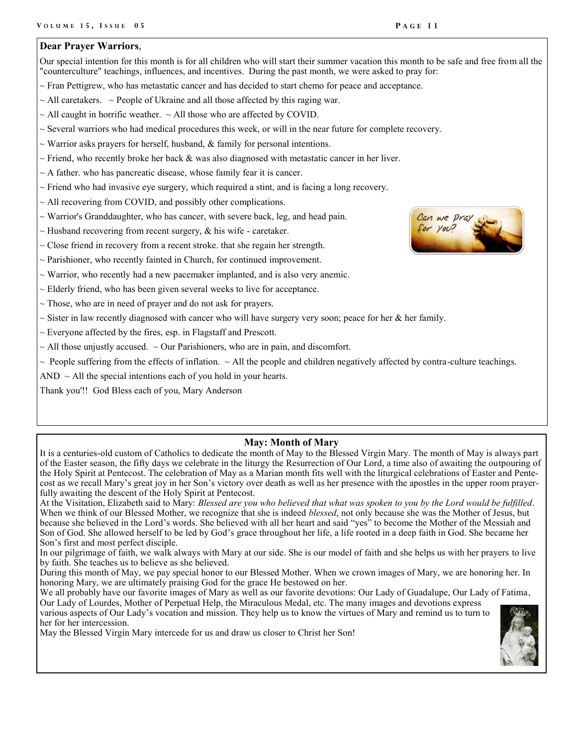### **Dear Prayer Warriors**,

Our special intention for this month is for all children who will start their summer vacation this month to be safe and free from all the "counterculture" teachings, influences, and incentives. During the past month, we were asked to pray for:

- $\sim$  Fran Pettigrew, who has metastatic cancer and has decided to start chemo for peace and acceptance.
- $\sim$  All caretakers.  $\sim$  People of Ukraine and all those affected by this raging war.
- $\sim$  All caught in horrific weather.  $\sim$  All those who are affected by COVID.
- $\sim$  Several warriors who had medical procedures this week, or will in the near future for complete recovery.
- $\sim$  Warrior asks prayers for herself, husband, & family for personal intentions.
- $\sim$  Friend, who recently broke her back & was also diagnosed with metastatic cancer in her liver.
- $\sim$  A father. who has pancreatic disease, whose family fear it is cancer.
- $\sim$  Friend who had invasive eye surgery, which required a stint, and is facing a long recovery.
- $\sim$  All recovering from COVID, and possibly other complications.
- ~ Warrior's Granddaughter, who has cancer, with severe back, leg, and head pain.
- $\sim$  Husband recovering from recent surgery, & his wife caretaker.
- $\sim$  Close friend in recovery from a recent stroke. that she regain her strength.
- $\sim$  Parishioner, who recently fainted in Church, for continued improvement.
- $\sim$  Warrior, who recently had a new pacemaker implanted, and is also very anemic.
- $\sim$  Elderly friend, who has been given several weeks to live for acceptance.
- $\sim$  Those, who are in need of prayer and do not ask for prayers.
- $\sim$  Sister in law recently diagnosed with cancer who will have surgery very soon; peace for her & her family.
- $\sim$  Everyone affected by the fires, esp. in Flagstaff and Prescott.
- $\sim$  All those unjustly accused.  $\sim$  Our Parishioners, who are in pain, and discomfort.
- $\sim$  People suffering from the effects of inflation.  $\sim$  All the people and children negatively affected by contra-culture teachings.
- AND  $\sim$  All the special intentions each of you hold in your hearts.
- Thank you'!! God Bless each of you, Mary Anderson

### **May: Month of Mary**

It is a centuries-old custom of Catholics to dedicate the month of May to the Blessed Virgin Mary. The month of May is always part of the Easter season, the fifty days we celebrate in the liturgy the Resurrection of Our Lord, a time also of awaiting the outpouring of the Holy Spirit at Pentecost. The celebration of May as a Marian month fits well with the liturgical celebrations of Easter and Pentecost as we recall Mary's great joy in her Son's victory over death as well as her presence with the apostles in the upper room prayerfully awaiting the descent of the Holy Spirit at Pentecost.

At the Visitation, Elizabeth said to Mary: *Blessed are you who believed that what was spoken to you by the Lord would be fulfilled*. When we think of our Blessed Mother, we recognize that she is indeed *blessed*, not only because she was the Mother of Jesus, but because she believed in the Lord's words. She believed with all her heart and said "yes" to become the Mother of the Messiah and Son of God. She allowed herself to be led by God's grace throughout her life, a life rooted in a deep faith in God. She became her Son's first and most perfect disciple.

In our pilgrimage of faith, we walk always with Mary at our side. She is our model of faith and she helps us with her prayers to live by faith. She teaches us to believe as she believed.

During this month of May, we pay special honor to our Blessed Mother. When we crown images of Mary, we are honoring her. In honoring Mary, we are ultimately praising God for the grace He bestowed on her.

We all probably have our favorite images of Mary as well as our favorite devotions: Our Lady of Guadalupe, Our Lady of Fatima, Our Lady of Lourdes, Mother of Perpetual Help, the Miraculous Medal, etc. The many images and devotions express

various aspects of Our Lady's vocation and mission. They help us to know the virtues of Mary and remind us to turn to her for her intercession.

May the Blessed Virgin Mary intercede for us and draw us closer to Christ her Son!